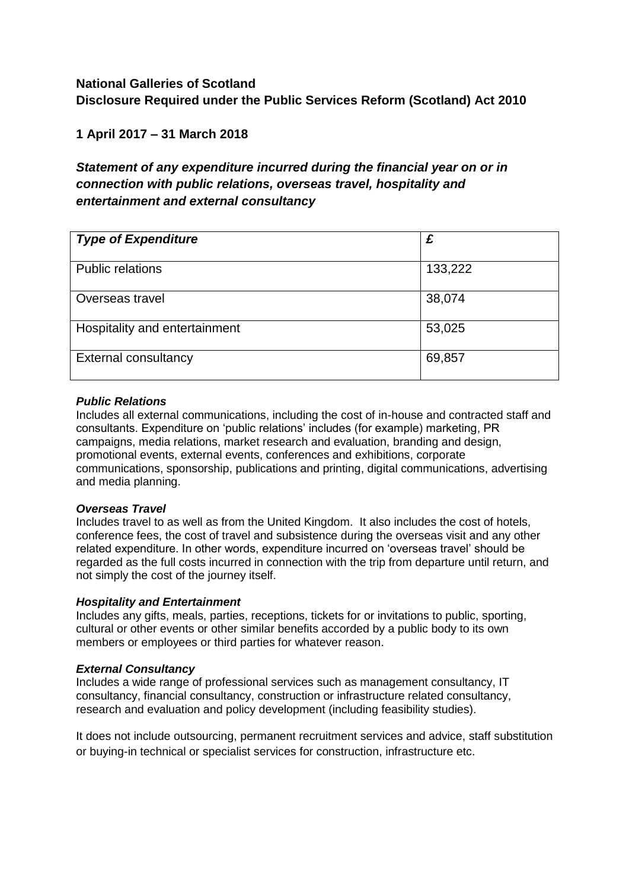## **National Galleries of Scotland Disclosure Required under the Public Services Reform (Scotland) Act 2010**

### **1 April 2017 – 31 March 2018**

## *Statement of any expenditure incurred during the financial year on or in connection with public relations, overseas travel, hospitality and entertainment and external consultancy*

| <b>Type of Expenditure</b>    | £       |
|-------------------------------|---------|
| <b>Public relations</b>       | 133,222 |
| Overseas travel               | 38,074  |
| Hospitality and entertainment | 53,025  |
| <b>External consultancy</b>   | 69,857  |

#### *Public Relations*

Includes all external communications, including the cost of in-house and contracted staff and consultants. Expenditure on 'public relations' includes (for example) marketing, PR campaigns, media relations, market research and evaluation, branding and design, promotional events, external events, conferences and exhibitions, corporate communications, sponsorship, publications and printing, digital communications, advertising and media planning.

#### *Overseas Travel*

Includes travel to as well as from the United Kingdom. It also includes the cost of hotels, conference fees, the cost of travel and subsistence during the overseas visit and any other related expenditure. In other words, expenditure incurred on 'overseas travel' should be regarded as the full costs incurred in connection with the trip from departure until return, and not simply the cost of the journey itself.

#### *Hospitality and Entertainment*

Includes any gifts, meals, parties, receptions, tickets for or invitations to public, sporting, cultural or other events or other similar benefits accorded by a public body to its own members or employees or third parties for whatever reason.

#### *External Consultancy*

Includes a wide range of professional services such as management consultancy, IT consultancy, financial consultancy, construction or infrastructure related consultancy, research and evaluation and policy development (including feasibility studies).

It does not include outsourcing, permanent recruitment services and advice, staff substitution or buying-in technical or specialist services for construction, infrastructure etc.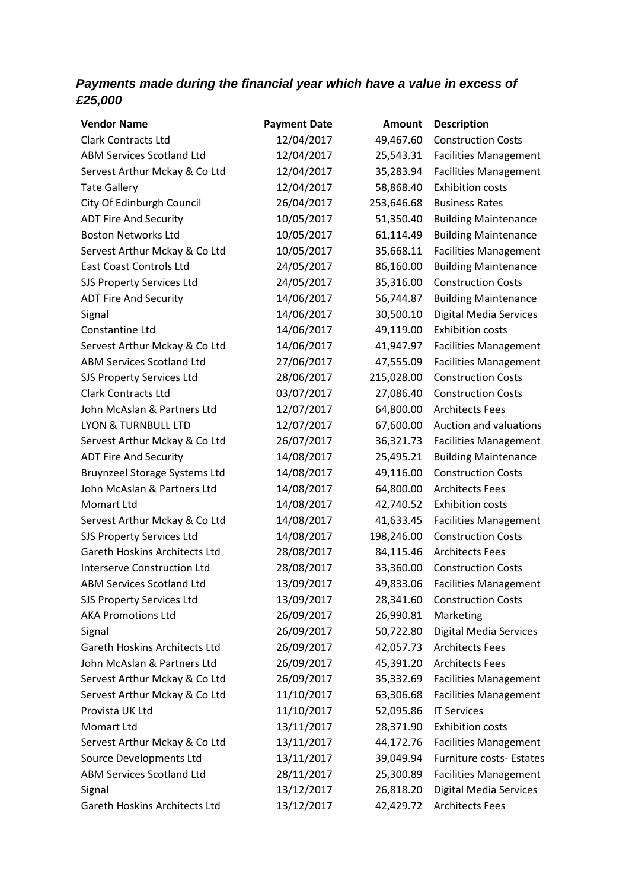# *Payments made during the financial year which have a value in excess of £25,000*

| <b>Vendor Name</b>                   | <b>Payment Date</b> | <b>Amount</b> | <b>Description</b>            |
|--------------------------------------|---------------------|---------------|-------------------------------|
| <b>Clark Contracts Ltd</b>           | 12/04/2017          | 49,467.60     | <b>Construction Costs</b>     |
| <b>ABM Services Scotland Ltd</b>     | 12/04/2017          | 25,543.31     | <b>Facilities Management</b>  |
| Servest Arthur Mckay & Co Ltd        | 12/04/2017          | 35,283.94     | <b>Facilities Management</b>  |
| <b>Tate Gallery</b>                  | 12/04/2017          | 58,868.40     | <b>Exhibition costs</b>       |
| City Of Edinburgh Council            | 26/04/2017          | 253,646.68    | <b>Business Rates</b>         |
| <b>ADT Fire And Security</b>         | 10/05/2017          | 51,350.40     | <b>Building Maintenance</b>   |
| <b>Boston Networks Ltd</b>           | 10/05/2017          | 61,114.49     | <b>Building Maintenance</b>   |
| Servest Arthur Mckay & Co Ltd        | 10/05/2017          | 35,668.11     | <b>Facilities Management</b>  |
| <b>East Coast Controls Ltd</b>       | 24/05/2017          | 86,160.00     | <b>Building Maintenance</b>   |
| SJS Property Services Ltd            | 24/05/2017          | 35,316.00     | <b>Construction Costs</b>     |
| <b>ADT Fire And Security</b>         | 14/06/2017          | 56,744.87     | <b>Building Maintenance</b>   |
| Signal                               | 14/06/2017          | 30,500.10     | <b>Digital Media Services</b> |
| Constantine Ltd                      | 14/06/2017          | 49,119.00     | <b>Exhibition costs</b>       |
| Servest Arthur Mckay & Co Ltd        | 14/06/2017          | 41,947.97     | <b>Facilities Management</b>  |
| <b>ABM Services Scotland Ltd</b>     | 27/06/2017          | 47,555.09     | <b>Facilities Management</b>  |
| SJS Property Services Ltd            | 28/06/2017          | 215,028.00    | <b>Construction Costs</b>     |
| <b>Clark Contracts Ltd</b>           | 03/07/2017          | 27,086.40     | <b>Construction Costs</b>     |
| John McAslan & Partners Ltd          | 12/07/2017          | 64,800.00     | <b>Architects Fees</b>        |
| LYON & TURNBULL LTD                  | 12/07/2017          | 67,600.00     | Auction and valuations        |
| Servest Arthur Mckay & Co Ltd        | 26/07/2017          | 36,321.73     | <b>Facilities Management</b>  |
| <b>ADT Fire And Security</b>         | 14/08/2017          | 25,495.21     | <b>Building Maintenance</b>   |
| Bruynzeel Storage Systems Ltd        | 14/08/2017          | 49,116.00     | <b>Construction Costs</b>     |
| John McAslan & Partners Ltd          | 14/08/2017          | 64,800.00     | <b>Architects Fees</b>        |
| <b>Momart Ltd</b>                    | 14/08/2017          | 42,740.52     | <b>Exhibition costs</b>       |
| Servest Arthur Mckay & Co Ltd        | 14/08/2017          | 41,633.45     | <b>Facilities Management</b>  |
| SJS Property Services Ltd            | 14/08/2017          | 198,246.00    | <b>Construction Costs</b>     |
| <b>Gareth Hoskins Architects Ltd</b> | 28/08/2017          | 84,115.46     | <b>Architects Fees</b>        |
| <b>Interserve Construction Ltd</b>   | 28/08/2017          | 33,360.00     | <b>Construction Costs</b>     |
| <b>ABM Services Scotland Ltd</b>     | 13/09/2017          | 49,833.06     | <b>Facilities Management</b>  |
| SJS Property Services Ltd            | 13/09/2017          | 28,341.60     | <b>Construction Costs</b>     |
| <b>AKA Promotions Ltd</b>            | 26/09/2017          | 26,990.81     | Marketing                     |
| Signal                               | 26/09/2017          | 50,722.80     | <b>Digital Media Services</b> |
| Gareth Hoskins Architects Ltd        | 26/09/2017          | 42,057.73     | <b>Architects Fees</b>        |
| John McAslan & Partners Ltd          | 26/09/2017          | 45,391.20     | <b>Architects Fees</b>        |
| Servest Arthur Mckay & Co Ltd        | 26/09/2017          | 35,332.69     | <b>Facilities Management</b>  |
| Servest Arthur Mckay & Co Ltd        | 11/10/2017          | 63,306.68     | <b>Facilities Management</b>  |
| Provista UK Ltd                      | 11/10/2017          | 52,095.86     | <b>IT Services</b>            |
| Momart Ltd                           | 13/11/2017          | 28,371.90     | <b>Exhibition costs</b>       |
| Servest Arthur Mckay & Co Ltd        | 13/11/2017          | 44,172.76     | <b>Facilities Management</b>  |
| Source Developments Ltd              | 13/11/2017          | 39,049.94     | Furniture costs- Estates      |
| ABM Services Scotland Ltd            | 28/11/2017          | 25,300.89     | <b>Facilities Management</b>  |
| Signal                               | 13/12/2017          | 26,818.20     | <b>Digital Media Services</b> |
| <b>Gareth Hoskins Architects Ltd</b> | 13/12/2017          | 42,429.72     | <b>Architects Fees</b>        |